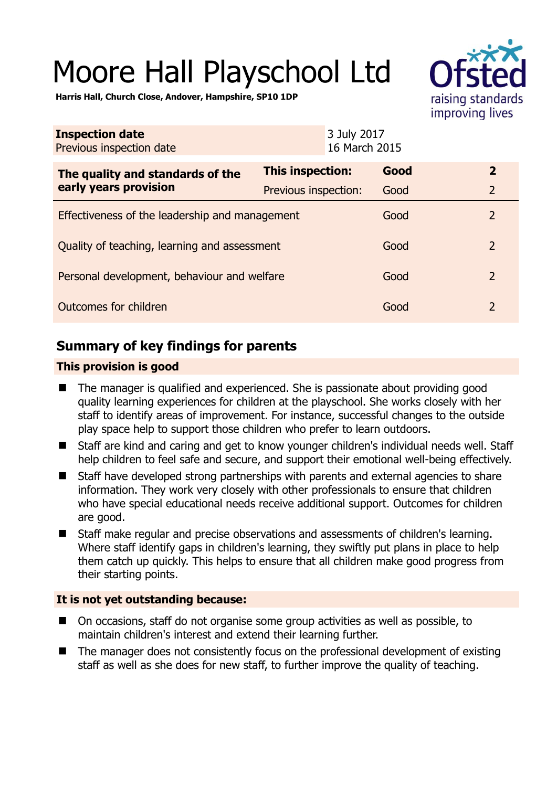# Moore Hall Playschool Ltd



**Harris Hall, Church Close, Andover, Hampshire, SP10 1DP** 

| <b>Inspection date</b><br>Previous inspection date        | 3 July 2017<br>16 March 2015 |      |                |
|-----------------------------------------------------------|------------------------------|------|----------------|
| The quality and standards of the<br>early years provision | This inspection:             | Good | $\mathbf{2}$   |
|                                                           | Previous inspection:         | Good | $\overline{2}$ |
| Effectiveness of the leadership and management            |                              | Good | $\overline{2}$ |
| Quality of teaching, learning and assessment              |                              | Good | $\overline{2}$ |
| Personal development, behaviour and welfare               |                              | Good | $\overline{2}$ |
| Outcomes for children                                     |                              | Good | $\overline{2}$ |

# **Summary of key findings for parents**

#### **This provision is good**

- The manager is qualified and experienced. She is passionate about providing good quality learning experiences for children at the playschool. She works closely with her staff to identify areas of improvement. For instance, successful changes to the outside play space help to support those children who prefer to learn outdoors.
- Staff are kind and caring and get to know younger children's individual needs well. Staff help children to feel safe and secure, and support their emotional well-being effectively.
- Staff have developed strong partnerships with parents and external agencies to share information. They work very closely with other professionals to ensure that children who have special educational needs receive additional support. Outcomes for children are good.
- Staff make regular and precise observations and assessments of children's learning. Where staff identify gaps in children's learning, they swiftly put plans in place to help them catch up quickly. This helps to ensure that all children make good progress from their starting points.

## **It is not yet outstanding because:**

- On occasions, staff do not organise some group activities as well as possible, to maintain children's interest and extend their learning further.
- The manager does not consistently focus on the professional development of existing staff as well as she does for new staff, to further improve the quality of teaching.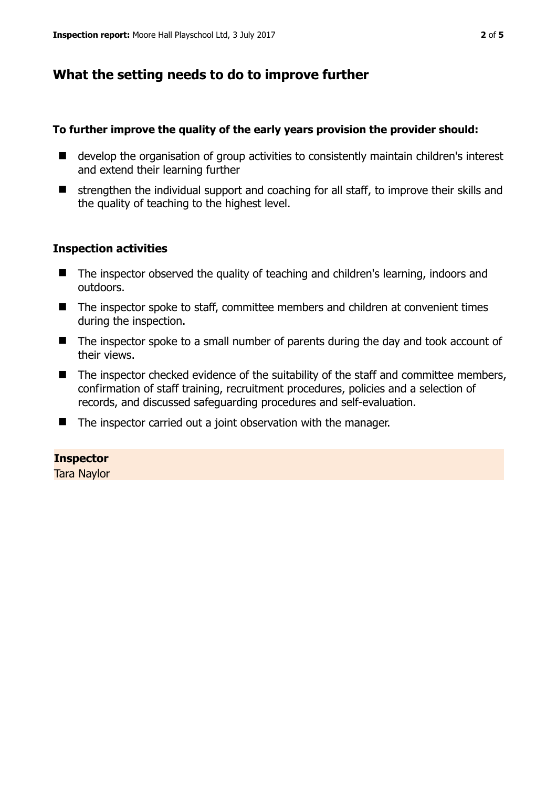## **What the setting needs to do to improve further**

#### **To further improve the quality of the early years provision the provider should:**

- develop the organisation of group activities to consistently maintain children's interest and extend their learning further
- $\blacksquare$  strengthen the individual support and coaching for all staff, to improve their skills and the quality of teaching to the highest level.

#### **Inspection activities**

- The inspector observed the quality of teaching and children's learning, indoors and outdoors.
- The inspector spoke to staff, committee members and children at convenient times during the inspection.
- The inspector spoke to a small number of parents during the day and took account of their views.
- $\blacksquare$  The inspector checked evidence of the suitability of the staff and committee members, confirmation of staff training, recruitment procedures, policies and a selection of records, and discussed safeguarding procedures and self-evaluation.
- $\blacksquare$  The inspector carried out a joint observation with the manager.

#### **Inspector**

Tara Naylor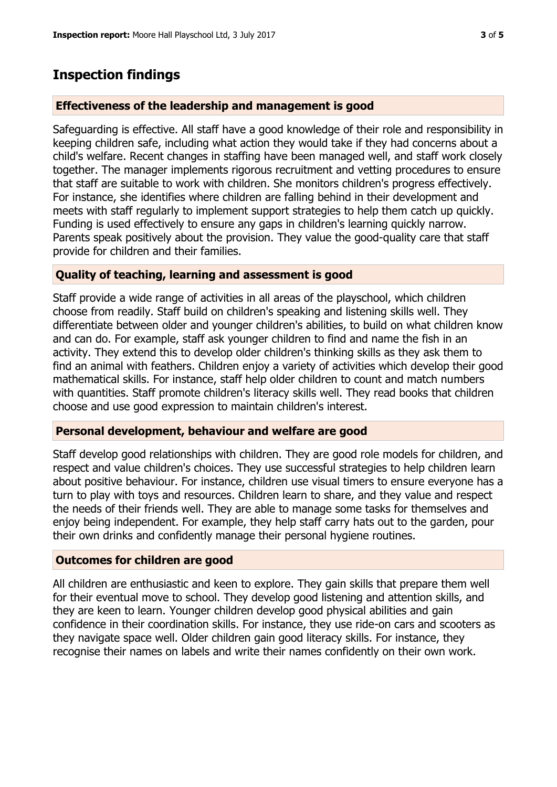## **Inspection findings**

#### **Effectiveness of the leadership and management is good**

Safeguarding is effective. All staff have a good knowledge of their role and responsibility in keeping children safe, including what action they would take if they had concerns about a child's welfare. Recent changes in staffing have been managed well, and staff work closely together. The manager implements rigorous recruitment and vetting procedures to ensure that staff are suitable to work with children. She monitors children's progress effectively. For instance, she identifies where children are falling behind in their development and meets with staff regularly to implement support strategies to help them catch up quickly. Funding is used effectively to ensure any gaps in children's learning quickly narrow. Parents speak positively about the provision. They value the good-quality care that staff provide for children and their families.

#### **Quality of teaching, learning and assessment is good**

Staff provide a wide range of activities in all areas of the playschool, which children choose from readily. Staff build on children's speaking and listening skills well. They differentiate between older and younger children's abilities, to build on what children know and can do. For example, staff ask younger children to find and name the fish in an activity. They extend this to develop older children's thinking skills as they ask them to find an animal with feathers. Children enjoy a variety of activities which develop their good mathematical skills. For instance, staff help older children to count and match numbers with quantities. Staff promote children's literacy skills well. They read books that children choose and use good expression to maintain children's interest.

#### **Personal development, behaviour and welfare are good**

Staff develop good relationships with children. They are good role models for children, and respect and value children's choices. They use successful strategies to help children learn about positive behaviour. For instance, children use visual timers to ensure everyone has a turn to play with toys and resources. Children learn to share, and they value and respect the needs of their friends well. They are able to manage some tasks for themselves and enjoy being independent. For example, they help staff carry hats out to the garden, pour their own drinks and confidently manage their personal hygiene routines.

## **Outcomes for children are good**

All children are enthusiastic and keen to explore. They gain skills that prepare them well for their eventual move to school. They develop good listening and attention skills, and they are keen to learn. Younger children develop good physical abilities and gain confidence in their coordination skills. For instance, they use ride-on cars and scooters as they navigate space well. Older children gain good literacy skills. For instance, they recognise their names on labels and write their names confidently on their own work.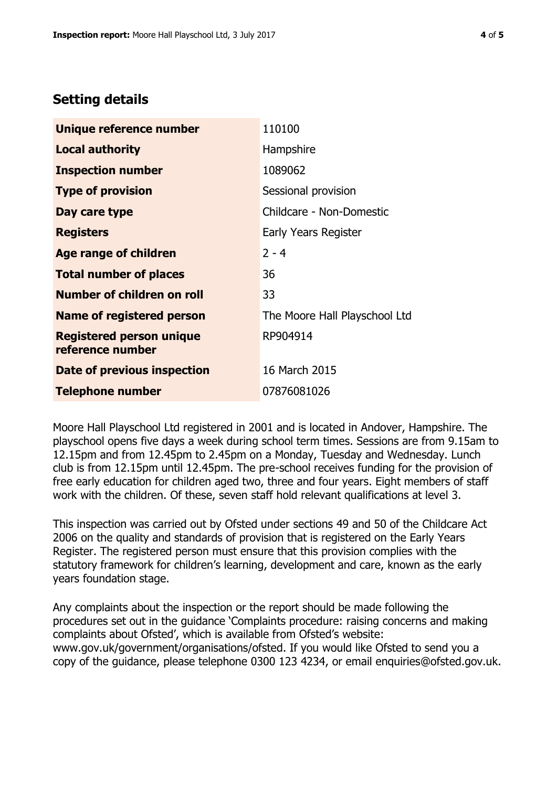## **Setting details**

| Unique reference number                             | 110100                        |  |
|-----------------------------------------------------|-------------------------------|--|
| <b>Local authority</b>                              | Hampshire                     |  |
| <b>Inspection number</b>                            | 1089062                       |  |
| <b>Type of provision</b>                            | Sessional provision           |  |
| Day care type                                       | Childcare - Non-Domestic      |  |
| <b>Registers</b>                                    | Early Years Register          |  |
| <b>Age range of children</b>                        | $2 - 4$                       |  |
| <b>Total number of places</b>                       | 36                            |  |
| Number of children on roll                          | 33                            |  |
| Name of registered person                           | The Moore Hall Playschool Ltd |  |
| <b>Registered person unique</b><br>reference number | RP904914                      |  |
| Date of previous inspection                         | 16 March 2015                 |  |
| <b>Telephone number</b>                             | 07876081026                   |  |

Moore Hall Playschool Ltd registered in 2001 and is located in Andover, Hampshire. The playschool opens five days a week during school term times. Sessions are from 9.15am to 12.15pm and from 12.45pm to 2.45pm on a Monday, Tuesday and Wednesday. Lunch club is from 12.15pm until 12.45pm. The pre-school receives funding for the provision of free early education for children aged two, three and four years. Eight members of staff work with the children. Of these, seven staff hold relevant qualifications at level 3.

This inspection was carried out by Ofsted under sections 49 and 50 of the Childcare Act 2006 on the quality and standards of provision that is registered on the Early Years Register. The registered person must ensure that this provision complies with the statutory framework for children's learning, development and care, known as the early years foundation stage.

Any complaints about the inspection or the report should be made following the procedures set out in the guidance 'Complaints procedure: raising concerns and making complaints about Ofsted', which is available from Ofsted's website: www.gov.uk/government/organisations/ofsted. If you would like Ofsted to send you a copy of the guidance, please telephone 0300 123 4234, or email enquiries@ofsted.gov.uk.